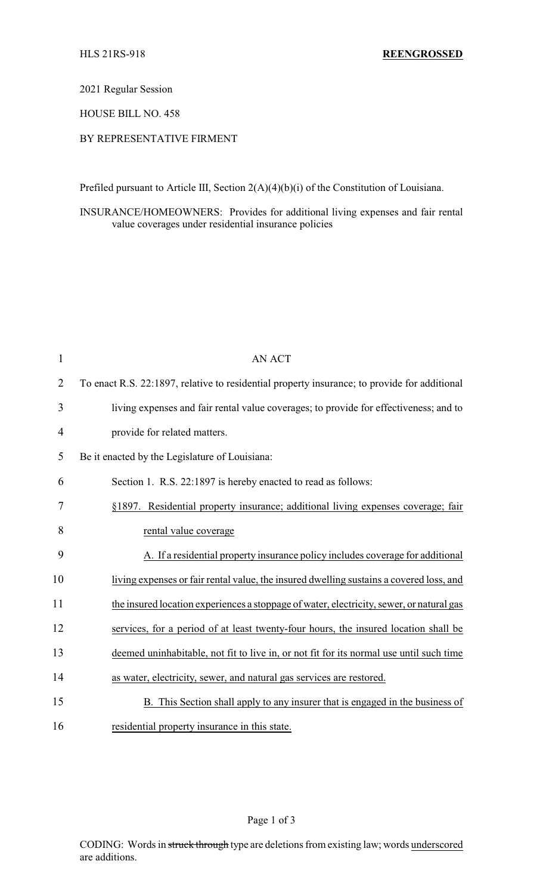2021 Regular Session

HOUSE BILL NO. 458

## BY REPRESENTATIVE FIRMENT

Prefiled pursuant to Article III, Section 2(A)(4)(b)(i) of the Constitution of Louisiana.

INSURANCE/HOMEOWNERS: Provides for additional living expenses and fair rental value coverages under residential insurance policies

| $\mathbf{1}$   | <b>AN ACT</b>                                                                                |
|----------------|----------------------------------------------------------------------------------------------|
| $\overline{2}$ | To enact R.S. 22:1897, relative to residential property insurance; to provide for additional |
| 3              | living expenses and fair rental value coverages; to provide for effectiveness; and to        |
| 4              | provide for related matters.                                                                 |
| 5              | Be it enacted by the Legislature of Louisiana:                                               |
| 6              | Section 1. R.S. 22:1897 is hereby enacted to read as follows:                                |
| 7              | §1897. Residential property insurance; additional living expenses coverage; fair             |
| 8              | rental value coverage                                                                        |
| 9              | A. If a residential property insurance policy includes coverage for additional               |
| 10             | living expenses or fair rental value, the insured dwelling sustains a covered loss, and      |
| 11             | the insured location experiences a stoppage of water, electricity, sewer, or natural gas     |
| 12             | services, for a period of at least twenty-four hours, the insured location shall be          |
| 13             | deemed uninhabitable, not fit to live in, or not fit for its normal use until such time      |
| 14             | as water, electricity, sewer, and natural gas services are restored.                         |
| 15             | B. This Section shall apply to any insurer that is engaged in the business of                |
| 16             | residential property insurance in this state.                                                |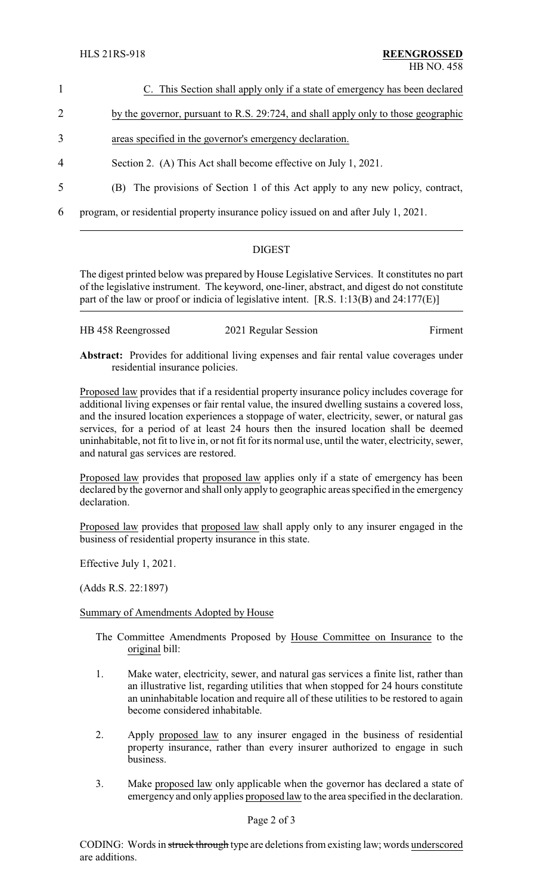- 1 C. This Section shall apply only if a state of emergency has been declared 2 by the governor, pursuant to R.S. 29:724, and shall apply only to those geographic 3 areas specified in the governor's emergency declaration.
- 4 Section 2. (A) This Act shall become effective on July 1, 2021.
- 5 (B) The provisions of Section 1 of this Act apply to any new policy, contract,

6 program, or residential property insurance policy issued on and after July 1, 2021.

## **DIGEST**

The digest printed below was prepared by House Legislative Services. It constitutes no part of the legislative instrument. The keyword, one-liner, abstract, and digest do not constitute part of the law or proof or indicia of legislative intent. [R.S. 1:13(B) and 24:177(E)]

| HB 458 Reengrossed | 2021 Regular Session | Firment |
|--------------------|----------------------|---------|
|                    |                      |         |

**Abstract:** Provides for additional living expenses and fair rental value coverages under residential insurance policies.

Proposed law provides that if a residential property insurance policy includes coverage for additional living expenses or fair rental value, the insured dwelling sustains a covered loss, and the insured location experiences a stoppage of water, electricity, sewer, or natural gas services, for a period of at least 24 hours then the insured location shall be deemed uninhabitable, not fit to live in, or not fit for its normal use, until the water, electricity, sewer, and natural gas services are restored.

Proposed law provides that proposed law applies only if a state of emergency has been declared by the governor and shall only apply to geographic areas specified in the emergency declaration.

Proposed law provides that proposed law shall apply only to any insurer engaged in the business of residential property insurance in this state.

Effective July 1, 2021.

(Adds R.S. 22:1897)

## Summary of Amendments Adopted by House

- The Committee Amendments Proposed by House Committee on Insurance to the original bill:
- 1. Make water, electricity, sewer, and natural gas services a finite list, rather than an illustrative list, regarding utilities that when stopped for 24 hours constitute an uninhabitable location and require all of these utilities to be restored to again become considered inhabitable.
- 2. Apply proposed law to any insurer engaged in the business of residential property insurance, rather than every insurer authorized to engage in such business.
- 3. Make proposed law only applicable when the governor has declared a state of emergency and only applies proposed law to the area specified in the declaration.